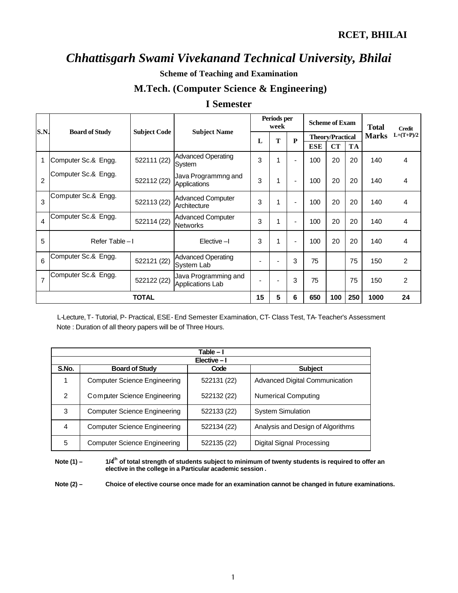**Scheme of Teaching and Examination** 

## **M.Tech. (Computer Science & Engineering)**

### **I Semester**

|                |                       |                     |                                             | Periods per<br>week      |   |                          | <b>Scheme of Exam</b>   |           |           | <b>Total</b> | <b>Credit</b>  |
|----------------|-----------------------|---------------------|---------------------------------------------|--------------------------|---|--------------------------|-------------------------|-----------|-----------|--------------|----------------|
| S.N.           | <b>Board of Study</b> | <b>Subject Code</b> | <b>Subject Name</b>                         | L                        | T | $\mathbf{P}$             | <b>Theory/Practical</b> |           |           | <b>Marks</b> | $L+(T+P)/2$    |
|                |                       |                     |                                             |                          |   |                          | <b>ESE</b>              | <b>CT</b> | <b>TA</b> |              |                |
| 1              | Computer Sc.& Engg.   | 522111 (22)         | <b>Advanced Operating</b><br>System         | 3                        | 1 | $\blacksquare$           | 100                     | 20        | 20        | 140          | 4              |
| $\overline{2}$ | Computer Sc.& Engg.   | 522112 (22)         | Java Programmng and<br>Applications         | 3                        | 1 | $\overline{\phantom{a}}$ | 100                     | 20        | 20        | 140          | 4              |
| 3              | Computer Sc.& Engg.   | 522113 (22)         | <b>Advanced Computer</b><br>Architecture    | 3                        | 1 | $\overline{\phantom{0}}$ | 100                     | 20        | 20        | 140          | 4              |
| $\overline{4}$ | Computer Sc.& Engg.   | 522114 (22)         | <b>Advanced Computer</b><br><b>Networks</b> | 3                        | 1 | $\blacksquare$           | 100                     | 20        | 20        | 140          | 4              |
| 5              | Refer Table-I         |                     | Elective-I                                  | 3                        | 1 | $\blacksquare$           | 100                     | 20        | 20        | 140          | 4              |
| 6              | Computer Sc.& Engg.   | 522121 (22)         | <b>Advanced Operating</b><br>System Lab     |                          |   | 3                        | 75                      |           | 75        | 150          | $\overline{2}$ |
| $\overline{7}$ | Computer Sc.& Engg.   | 522122 (22)         | Java Programming and<br>Applications Lab    | $\overline{\phantom{0}}$ |   | 3                        | 75                      |           | 75        | 150          | 2              |
|                |                       | <b>TOTAL</b>        |                                             | 15                       | 5 | 6                        | 650                     | 100       | 250       | 1000         | 24             |

 L-Lecture, T- Tutorial, P- Practical, ESE- End Semester Examination, CT- Class Test, TA- Teacher's Assessment Note : Duration of all theory papers will be of Three Hours.

| Table – I |                                     |             |                                   |  |  |  |  |  |  |  |  |
|-----------|-------------------------------------|-------------|-----------------------------------|--|--|--|--|--|--|--|--|
|           | Elective-I                          |             |                                   |  |  |  |  |  |  |  |  |
| S.No.     | <b>Board of Study</b>               | Code        | <b>Subject</b>                    |  |  |  |  |  |  |  |  |
|           | <b>Computer Science Engineering</b> | 522131 (22) | Advanced Digital Communication    |  |  |  |  |  |  |  |  |
| 2         | Computer Science Engineering        | 522132 (22) | <b>Numerical Computing</b>        |  |  |  |  |  |  |  |  |
| 3         | <b>Computer Science Engineering</b> | 522133 (22) | <b>System Simulation</b>          |  |  |  |  |  |  |  |  |
| 4         | <b>Computer Science Engineering</b> | 522134 (22) | Analysis and Design of Algorithms |  |  |  |  |  |  |  |  |
| 5         | <b>Computer Science Engineering</b> | 522135 (22) | <b>Digital Signal Processing</b>  |  |  |  |  |  |  |  |  |

**Note (1) – 1/4th of total strength of students subject to minimum of twenty students is required to offer an elective in the college in a Particular academic session .**

**Note (2) – Choice of elective course once made for an examination cannot be changed in future examinations.**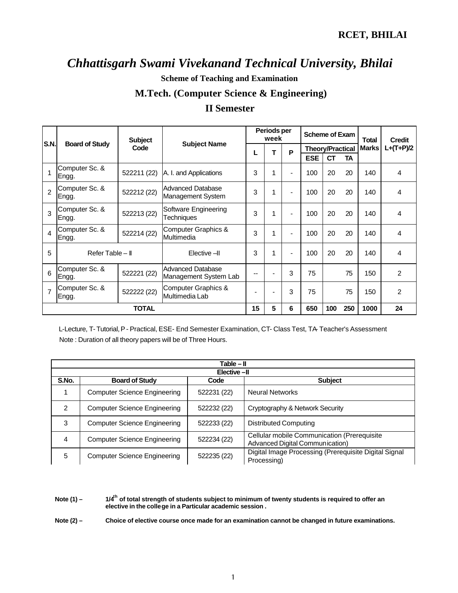**Scheme of Teaching and Examination** 

### **M.Tech. (Computer Science & Engineering)**

### **II Semester**

|                | <b>Subject</b>          |             | Periods per<br>week                        |    |                          | <b>Scheme of Exam</b>    |                         |           | <b>Credit</b> |              |             |
|----------------|-------------------------|-------------|--------------------------------------------|----|--------------------------|--------------------------|-------------------------|-----------|---------------|--------------|-------------|
| <b>S.N.</b>    | <b>Board of Study</b>   | Code        | <b>Subject Name</b>                        | L  | т                        | P                        | <b>Theory/Practical</b> |           |               | <b>Marks</b> | $L+(T+P)/2$ |
|                |                         |             |                                            |    |                          |                          | <b>ESE</b>              | <b>CT</b> | TA            |              |             |
|                | Computer Sc. &<br>Engg. | 522211 (22) | A. I. and Applications                     | 3  | 1                        | ۰                        | 100                     | 20        | 20            | 140          | 4           |
| $\mathcal{P}$  | Computer Sc. &<br>Engg. | 522212 (22) | Advanced Database<br>Management System     | 3  | 1                        | $\overline{\phantom{0}}$ | 100                     | 20        | 20            | 140          | 4           |
| $\mathcal{R}$  | Computer Sc. &<br>Engg. | 522213 (22) | Software Engineering<br>Techniques         | 3  | 1                        |                          | 100                     | 20        | 20            | 140          | 4           |
| $\overline{4}$ | Computer Sc. &<br>Engg. | 522214 (22) | Computer Graphics &<br>Multimedia          | 3  | 1                        |                          | 100                     | 20        | 20            | 140          | 4           |
| 5              | Refer Table - II        |             | Elective -II                               | 3  | 1                        | ۰                        | 100                     | 20        | 20            | 140          | 4           |
| 6              | Computer Sc. &<br>Engg. | 522221 (22) | Advanced Database<br>Management System Lab | -- | $\blacksquare$           | 3                        | 75                      |           | 75            | 150          | 2           |
| $\overline{7}$ | Computer Sc. &<br>Engg. | 522222 (22) | Computer Graphics &<br>Multimedia Lab      |    | $\overline{\phantom{0}}$ | 3                        | 75                      |           | 75            | 150          | 2           |
|                | <b>TOTAL</b>            |             |                                            | 15 | 5                        | 6                        | 650                     | 100       | 250           | 1000         | 24          |

 L-Lecture, T- Tutorial, P- Practical, ESE- End Semester Examination, CT- Class Test, TA- Teacher's Assessment Note : Duration of all theory papers will be of Three Hours.

|             | Table – II                          |                |                                                                                |  |  |  |  |  |  |
|-------------|-------------------------------------|----------------|--------------------------------------------------------------------------------|--|--|--|--|--|--|
| Elective-II |                                     |                |                                                                                |  |  |  |  |  |  |
| S.No.       | <b>Board of Study</b>               | <b>Subject</b> |                                                                                |  |  |  |  |  |  |
|             | <b>Computer Science Engineering</b> | 522231 (22)    | <b>Neural Networks</b>                                                         |  |  |  |  |  |  |
| 2           | <b>Computer Science Engineering</b> | 522232 (22)    | Cryptography & Network Security                                                |  |  |  |  |  |  |
| 3           | <b>Computer Science Engineering</b> | 522233 (22)    | Distributed Computing                                                          |  |  |  |  |  |  |
| 4           | <b>Computer Science Engineering</b> | 522234 (22)    | Cellular mobile Communication (Prerequisite<br>Advanced Digital Communication) |  |  |  |  |  |  |
| 5           | <b>Computer Science Engineering</b> | 522235 (22)    | Digital Image Processing (Prerequisite Digital Signal<br>Processing)           |  |  |  |  |  |  |

**Note (1) – 1/4th of total strength of students subject to minimum of twenty students is required to offer an elective in the college in a Particular academic session .**

**Note (2) – Choice of elective course once made for an examination cannot be changed in future examinations.**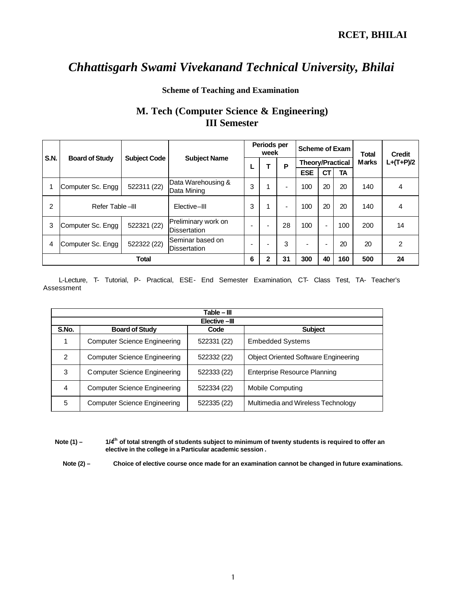#### **Scheme of Teaching and Examination**

## **M. Tech (Computer Science & Engineering) III Semester**

|             |                       |                     |                                          | Periods per<br>week |   |                          | <b>Scheme of Exam</b>    |                |     | <b>Total</b> | <b>Credit</b> |
|-------------|-----------------------|---------------------|------------------------------------------|---------------------|---|--------------------------|--------------------------|----------------|-----|--------------|---------------|
| <b>S.N.</b> | <b>Board of Study</b> | <b>Subject Code</b> | <b>Subject Name</b>                      |                     |   | P                        | <b>Theory/Practical</b>  |                |     | <b>Marks</b> | $L+(T+P)/2$   |
|             |                       |                     |                                          |                     |   |                          | <b>ESE</b>               | <b>CT</b>      | TA  |              |               |
|             | Computer Sc. Engg     | 522311 (22)         | Data Warehousing &<br>Data Mining        | 3                   |   | $\blacksquare$           | 100                      | 20             | 20  | 140          | 4             |
| 2           | Refer Table -III      |                     | Elective-III                             | 3                   |   | $\overline{\phantom{0}}$ | 100                      | 20             | 20  | 140          | 4             |
| 3           | Computer Sc. Engg     | 522321 (22)         | Preliminary work on<br>Dissertation      | -                   |   | 28                       | 100                      | $\blacksquare$ | 100 | 200          | 14            |
| 4           | Computer Sc. Engg     | 522322 (22)         | lSeminar based on<br><b>Dissertation</b> |                     |   | 3                        | $\overline{\phantom{a}}$ | $\blacksquare$ | 20  | 20           | 2             |
|             |                       | Total               |                                          | 6                   | 2 | 31                       | 300                      | 40             | 160 | 500          | 24            |

 L-Lecture, T- Tutorial, P- Practical, ESE- End Semester Examination, CT- Class Test, TA- Teacher's Assessment

|               | Table – III                         |             |                                             |  |  |  |  |  |  |  |
|---------------|-------------------------------------|-------------|---------------------------------------------|--|--|--|--|--|--|--|
|               | Elective-III                        |             |                                             |  |  |  |  |  |  |  |
| S.No.         | <b>Board of Study</b>               | Code        | <b>Subject</b>                              |  |  |  |  |  |  |  |
|               | Computer Science Engineering        | 522331 (22) | <b>Embedded Systems</b>                     |  |  |  |  |  |  |  |
| $\mathcal{P}$ | <b>Computer Science Engineering</b> | 522332 (22) | <b>Object Oriented Software Engineering</b> |  |  |  |  |  |  |  |
| 3             | Computer Science Engineering        | 522333 (22) | <b>Enterprise Resource Planning</b>         |  |  |  |  |  |  |  |
| 4             | <b>Computer Science Engineering</b> | 522334 (22) | <b>Mobile Computing</b>                     |  |  |  |  |  |  |  |
| 5             | <b>Computer Science Engineering</b> | 522335 (22) | Multimedia and Wireless Technology          |  |  |  |  |  |  |  |

**Note (1) – 1/4th of total strength of students subject to minimum of twenty students is required to offer an elective in the college in a Particular academic session .**

**Note (2) – Choice of elective course once made for an examination cannot be changed in future examinations.**